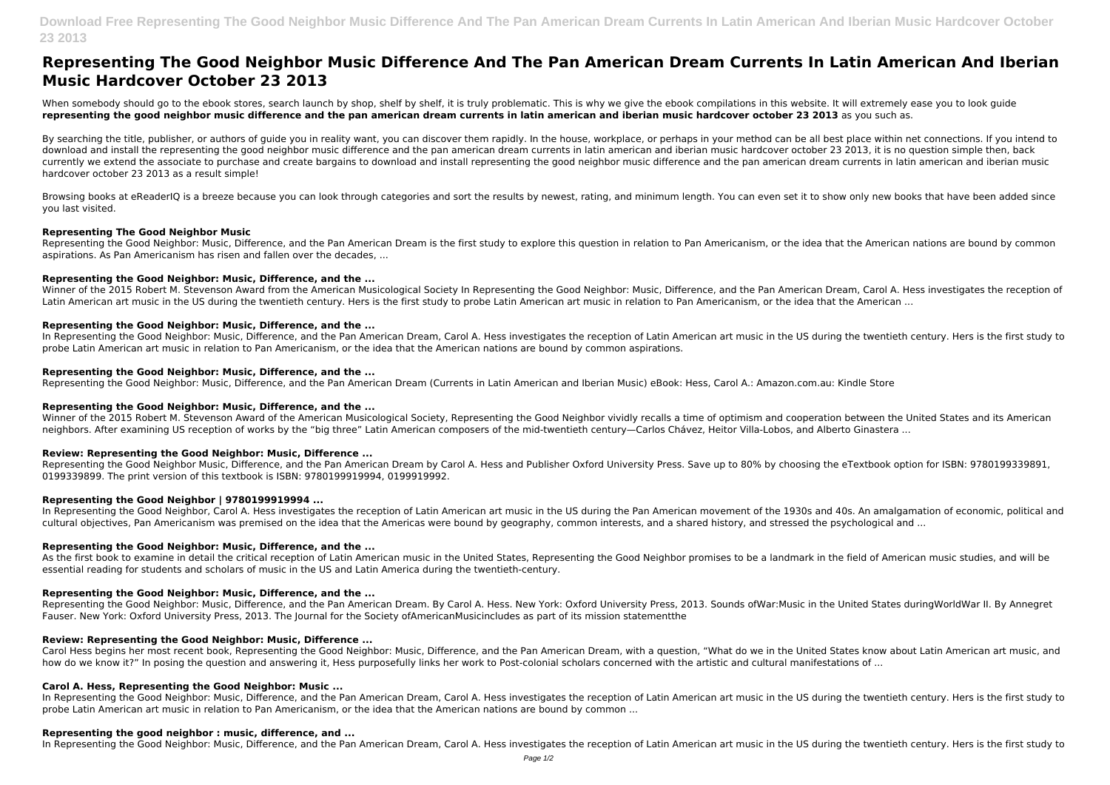**Download Free Representing The Good Neighbor Music Difference And The Pan American Dream Currents In Latin American And Iberian Music Hardcover October 23 2013**

# **Representing The Good Neighbor Music Difference And The Pan American Dream Currents In Latin American And Iberian Music Hardcover October 23 2013**

When somebody should go to the ebook stores, search launch by shop, shelf by shelf, it is truly problematic. This is why we give the ebook compilations in this website. It will extremely ease you to look guide **representing the good neighbor music difference and the pan american dream currents in latin american and iberian music hardcover october 23 2013** as you such as.

By searching the title, publisher, or authors of quide you in reality want, you can discover them rapidly. In the house, workplace, or perhaps in your method can be all best place within net connections. If you intend to download and install the representing the good neighbor music difference and the pan american dream currents in latin american and iberian music hardcover october 23 2013, it is no question simple then, back currently we extend the associate to purchase and create bargains to download and install representing the good neighbor music difference and the pan american dream currents in latin american and iberian music hardcover october 23 2013 as a result simple!

In Representing the Good Neighbor: Music, Difference, and the Pan American Dream, Carol A. Hess investigates the reception of Latin American art music in the US during the twentieth century. Hers is the first study to probe Latin American art music in relation to Pan Americanism, or the idea that the American nations are bound by common aspirations.

Browsing books at eReaderIQ is a breeze because you can look through categories and sort the results by newest, rating, and minimum length. You can even set it to show only new books that have been added since you last visited.

# **Representing The Good Neighbor Music**

Winner of the 2015 Robert M. Stevenson Award of the American Musicological Society, Representing the Good Neighbor vividly recalls a time of optimism and cooperation between the United States and its American neighbors. After examining US reception of works by the "big three" Latin American composers of the mid-twentieth century—Carlos Chávez, Heitor Villa-Lobos, and Alberto Ginastera ...

Representing the Good Neighbor: Music, Difference, and the Pan American Dream is the first study to explore this question in relation to Pan Americanism, or the idea that the American nations are bound by common aspirations. As Pan Americanism has risen and fallen over the decades, ...

Representing the Good Neighbor Music, Difference, and the Pan American Dream by Carol A. Hess and Publisher Oxford University Press. Save up to 80% by choosing the eTextbook option for ISBN: 9780199339891, 0199339899. The print version of this textbook is ISBN: 9780199919994, 0199919992.

# **Representing the Good Neighbor: Music, Difference, and the ...**

Winner of the 2015 Robert M. Stevenson Award from the American Musicological Society In Representing the Good Neighbor: Music, Difference, and the Pan American Dream, Carol A. Hess investigates the reception of Latin American art music in the US during the twentieth century. Hers is the first study to probe Latin American art music in relation to Pan Americanism, or the idea that the American ...

In Representing the Good Neighbor, Carol A. Hess investigates the reception of Latin American art music in the US during the Pan American movement of the 1930s and 40s. An amalgamation of economic, political and cultural objectives, Pan Americanism was premised on the idea that the Americas were bound by geography, common interests, and a shared history, and stressed the psychological and ...

As the first book to examine in detail the critical reception of Latin American music in the United States, Representing the Good Neighbor promises to be a landmark in the field of American music studies, and will be essential reading for students and scholars of music in the US and Latin America during the twentieth-century.

# **Representing the Good Neighbor: Music, Difference, and the ...**

Carol Hess begins her most recent book, Representing the Good Neighbor: Music, Difference, and the Pan American Dream, with a question, "What do we in the United States know about Latin American art music, and how do we know it?" In posing the question and answering it, Hess purposefully links her work to Post-colonial scholars concerned with the artistic and cultural manifestations of ...

# **Representing the Good Neighbor: Music, Difference, and the ...**

Representing the Good Neighbor: Music, Difference, and the Pan American Dream (Currents in Latin American and Iberian Music) eBook: Hess, Carol A.: Amazon.com.au: Kindle Store

In Representing the Good Neighbor: Music, Difference, and the Pan American Dream, Carol A. Hess investigates the reception of Latin American art music in the US during the twentieth century. Hers is the first study to probe Latin American art music in relation to Pan Americanism, or the idea that the American nations are bound by common ...

# **Representing the Good Neighbor: Music, Difference, and the ...**

# **Review: Representing the Good Neighbor: Music, Difference ...**

# **Representing the Good Neighbor | 9780199919994 ...**

# **Representing the Good Neighbor: Music, Difference, and the ...**

# **Representing the Good Neighbor: Music, Difference, and the ...**

Representing the Good Neighbor: Music, Difference, and the Pan American Dream. By Carol A. Hess. New York: Oxford University Press, 2013. Sounds ofWar:Music in the United States duringWorldWar II. By Annegret Fauser. New York: Oxford University Press, 2013. The Journal for the Society ofAmericanMusicincludes as part of its mission statementthe

# **Review: Representing the Good Neighbor: Music, Difference ...**

# **Carol A. Hess, Representing the Good Neighbor: Music ...**

# **Representing the good neighbor : music, difference, and ...**

In Representing the Good Neighbor: Music, Difference, and the Pan American Dream, Carol A. Hess investigates the reception of Latin American art music in the US during the twentieth century. Hers is the first study to